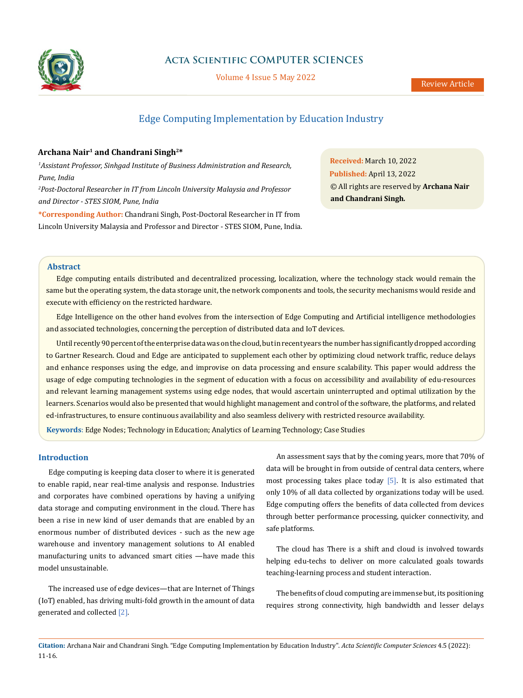

# **Acta Scientific COMPUTER SCIENCES**

Volume 4 Issue 5 May 2022

# Edge Computing Implementation by Education Industry

## **Archana Nair1 and Chandrani Singh2\***

*1 Assistant Professor, Sinhgad Institute of Business Administration and Research, Pune, India*

*2 Post-Doctoral Researcher in IT from Lincoln University Malaysia and Professor and Director - STES SIOM, Pune, India*

**\*Corresponding Author:** Chandrani Singh, Post-Doctoral Researcher in IT from Lincoln University Malaysia and Professor and Director - STES SIOM, Pune, India.

**Received:** March 10, 2022 **Published:** April 13, 2022 © All rights are reserved by **Archana Nair and Chandrani Singh***.*

## **Abstract**

Edge computing entails distributed and decentralized processing, localization, where the technology stack would remain the same but the operating system, the data storage unit, the network components and tools, the security mechanisms would reside and execute with efficiency on the restricted hardware.

Edge Intelligence on the other hand evolves from the intersection of Edge Computing and Artificial intelligence methodologies and associated technologies, concerning the perception of distributed data and IoT devices.

Until recently 90 percent of the enterprise data was on the cloud, but in recent years the number has significantly dropped according to Gartner Research. Cloud and Edge are anticipated to supplement each other by optimizing cloud network traffic, reduce delays and enhance responses using the edge, and improvise on data processing and ensure scalability. This paper would address the usage of edge computing technologies in the segment of education with a focus on accessibility and availability of edu-resources and relevant learning management systems using edge nodes, that would ascertain uninterrupted and optimal utilization by the learners. Scenarios would also be presented that would highlight management and control of the software, the platforms, and related ed-infrastructures, to ensure continuous availability and also seamless delivery with restricted resource availability.

**Keywords**: Edge Nodes; Technology in Education; Analytics of Learning Technology; Case Studies

## **Introduction**

Edge computing is keeping data closer to where it is generated to enable rapid, near real-time analysis and response. Industries and corporates have combined operations by having a unifying data storage and computing environment in the cloud. There has been a rise in new kind of user demands that are enabled by an enormous number of distributed devices - such as the new age warehouse and inventory management solutions to AI enabled manufacturing units to advanced smart cities —have made this model unsustainable.

The increased use of edge devices—that are Internet of Things (IoT) enabled, has driving multi-fold growth in the amount of data generated and collected [2].

An assessment says that by the coming years, more that 70% of data will be brought in from outside of central data centers, where most processing takes place today [5]. It is also estimated that only 10% of all data collected by organizations today will be used. Edge computing offers the benefits of data collected from devices through better performance processing, quicker connectivity, and safe platforms.

The cloud has There is a shift and cloud is involved towards helping edu-techs to deliver on more calculated goals towards teaching-learning process and student interaction.

The benefits of cloud computing are immense but, its positioning requires strong connectivity, high bandwidth and lesser delays

**Citation:** Archana Nair and Chandrani Singh*.* "Edge Computing Implementation by Education Industry". *Acta Scientific Computer Sciences* 4.5 (2022): 11-16.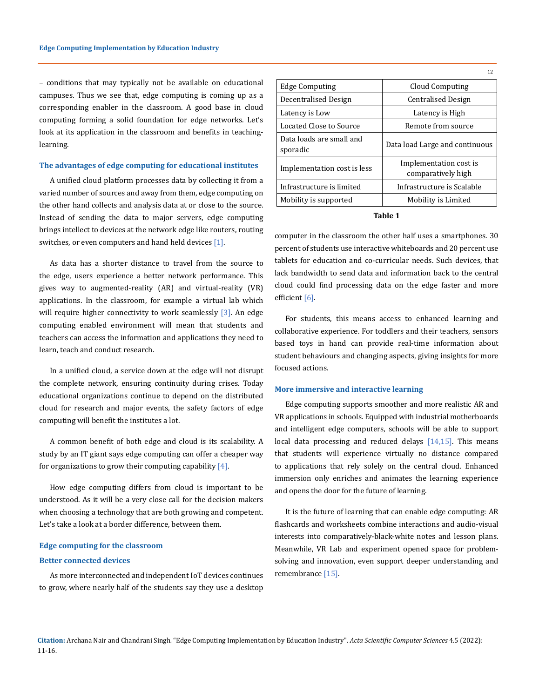– conditions that may typically not be available on educational campuses. Thus we see that, edge computing is coming up as a corresponding enabler in the classroom. A good base in cloud computing forming a solid foundation for edge networks. Let's look at its application in the classroom and benefits in teachinglearning.

## **The advantages of edge computing for educational institutes**

A unified cloud platform processes data by collecting it from a varied number of sources and away from them, edge computing on the other hand collects and analysis data at or close to the source. Instead of sending the data to major servers, edge computing brings intellect to devices at the network edge like routers, routing switches, or even computers and hand held devices [1].

As data has a shorter distance to travel from the source to the edge, users experience a better network performance. This gives way to augmented-reality (AR) and virtual-reality (VR) applications. In the classroom, for example a virtual lab which will require higher connectivity to work seamlessly [3]. An edge computing enabled environment will mean that students and teachers can access the information and applications they need to learn, teach and conduct research.

In a unified cloud, a service down at the edge will not disrupt the complete network, ensuring continuity during crises. Today educational organizations continue to depend on the distributed cloud for research and major events, the safety factors of edge computing will benefit the institutes a lot.

A common benefit of both edge and cloud is its scalability. A study by an IT giant says edge computing can offer a cheaper way for organizations to grow their computing capability  $[4]$ .

How edge computing differs from cloud is important to be understood. As it will be a very close call for the decision makers when choosing a technology that are both growing and competent. Let's take a look at a border difference, between them.

#### **Edge computing for the classroom**

#### **Better connected devices**

As more interconnected and independent IoT devices continues to grow, where nearly half of the students say they use a desktop

| Edge Computing                       | Cloud Computing                              |
|--------------------------------------|----------------------------------------------|
| Decentralised Design                 | Centralised Design                           |
| Latency is Low                       | Latency is High                              |
| Located Close to Source              | Remote from source                           |
| Data loads are small and<br>sporadic | Data load Large and continuous               |
| Implementation cost is less          | Implementation cost is<br>comparatively high |
| Infrastructure is limited            | Infrastructure is Scalable                   |
| Mobility is supported                | Mobility is Limited                          |
|                                      |                                              |

12

#### **Table 1**

computer in the classroom the other half uses a smartphones. 30 percent of students use interactive whiteboards and 20 percent use tablets for education and co-curricular needs. Such devices, that lack bandwidth to send data and information back to the central cloud could find processing data on the edge faster and more efficient [6].

For students, this means access to enhanced learning and collaborative experience. For toddlers and their teachers, sensors based toys in hand can provide real-time information about student behaviours and changing aspects, giving insights for more focused actions.

#### **More immersive and interactive learning**

Edge computing supports smoother and more realistic AR and VR applications in schools. Equipped with industrial motherboards and intelligent edge computers, schools will be able to support local data processing and reduced delays  $[14,15]$ . This means that students will experience virtually no distance compared to applications that rely solely on the central cloud. Enhanced immersion only enriches and animates the learning experience and opens the door for the future of learning.

It is the future of learning that can enable edge computing: AR flashcards and worksheets combine interactions and audio-visual interests into comparatively-black-white notes and lesson plans. Meanwhile, VR Lab and experiment opened space for problemsolving and innovation, even support deeper understanding and remembrance [15].

### **Citation:** Archana Nair and Chandrani Singh*.* "Edge Computing Implementation by Education Industry". *Acta Scientific Computer Sciences* 4.5 (2022): 11-16.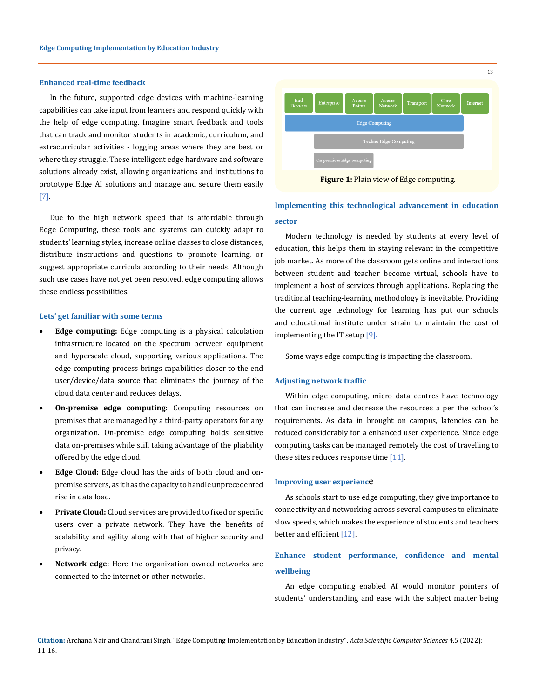## **Enhanced real-time feedback**

In the future, supported edge devices with machine-learning capabilities can take input from learners and respond quickly with the help of edge computing. Imagine smart feedback and tools that can track and monitor students in academic, curriculum, and extracurricular activities - logging areas where they are best or where they struggle. These intelligent edge hardware and software solutions already exist, allowing organizations and institutions to prototype Edge AI solutions and manage and secure them easily [7].

Due to the high network speed that is affordable through Edge Computing, these tools and systems can quickly adapt to students' learning styles, increase online classes to close distances, distribute instructions and questions to promote learning, or suggest appropriate curricula according to their needs. Although such use cases have not yet been resolved, edge computing allows these endless possibilities.

#### **Lets' get familiar with some terms**

- **Edge computing:** Edge computing is a physical calculation infrastructure located on the spectrum between equipment and hyperscale cloud, supporting various applications. The edge computing process brings capabilities closer to the end user/device/data source that eliminates the journey of the cloud data center and reduces delays.
- • **On-premise edge computing:** Computing resources on premises that are managed by a third-party operators for any organization. On-premise edge computing holds sensitive data on-premises while still taking advantage of the pliability offered by the edge cloud.
- • **Edge Cloud:** Edge cloud has the aids of both cloud and onpremise servers, as it has the capacity to handle unprecedented rise in data load.
- Private Cloud: Cloud services are provided to fixed or specific users over a private network. They have the benefits of scalability and agility along with that of higher security and privacy.
- • **Network edge:** Here the organization owned networks are connected to the internet or other networks.



**Figure 1:** Plain view of Edge computing.

# **Implementing this technological advancement in education sector**

Modern technology is needed by students at every level of education, this helps them in staying relevant in the competitive job market. As more of the classroom gets online and interactions between student and teacher become virtual, schools have to implement a host of services through applications. Replacing the traditional teaching-learning methodology is inevitable. Providing the current age technology for learning has put our schools and educational institute under strain to maintain the cost of implementing the IT setup [9].

Some ways edge computing is impacting the classroom.

#### **Adjusting network traffic**

Within edge computing, micro data centres have technology that can increase and decrease the resources a per the school's requirements. As data in brought on campus, latencies can be reduced considerably for a enhanced user experience. Since edge computing tasks can be managed remotely the cost of travelling to these sites reduces response time [11].

#### **Improving user experienc**e

As schools start to use edge computing, they give importance to connectivity and networking across several campuses to eliminate slow speeds, which makes the experience of students and teachers better and efficient [12].

## **Enhance student performance, confidence and mental wellbeing**

An edge computing enabled AI would monitor pointers of students' understanding and ease with the subject matter being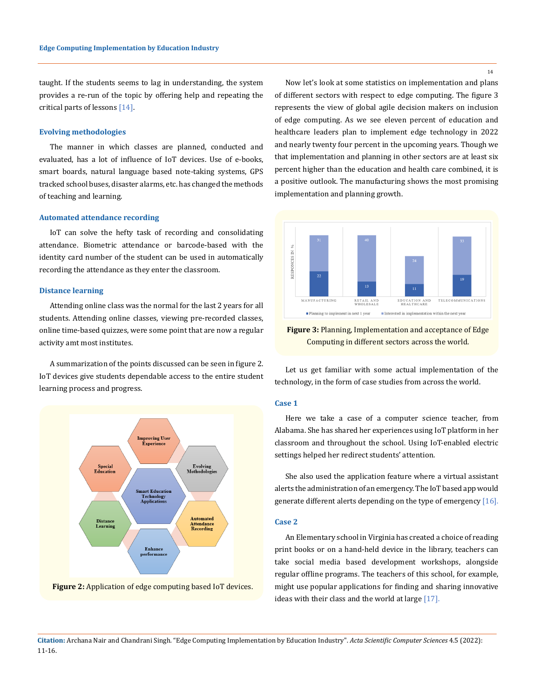taught. If the students seems to lag in understanding, the system provides a re-run of the topic by offering help and repeating the critical parts of lessons [14].

#### **Evolving methodologies**

The manner in which classes are planned, conducted and evaluated, has a lot of influence of IoT devices. Use of e-books, smart boards, natural language based note-taking systems, GPS tracked school buses, disaster alarms, etc. has changed the methods of teaching and learning.

#### **Automated attendance recording**

IoT can solve the hefty task of recording and consolidating attendance. Biometric attendance or barcode-based with the identity card number of the student can be used in automatically recording the attendance as they enter the classroom.

#### **Distance learning**

Attending online class was the normal for the last 2 years for all students. Attending online classes, viewing pre-recorded classes, online time-based quizzes, were some point that are now a regular activity amt most institutes.

A summarization of the points discussed can be seen in figure 2. IoT devices give students dependable access to the entire student learning process and progress.





Now let's look at some statistics on implementation and plans of different sectors with respect to edge computing. The figure 3 represents the view of global agile decision makers on inclusion of edge computing. As we see eleven percent of education and healthcare leaders plan to implement edge technology in 2022 and nearly twenty four percent in the upcoming years. Though we that implementation and planning in other sectors are at least six percent higher than the education and health care combined, it is a positive outlook. The manufacturing shows the most promising implementation and planning growth.



**Figure 3:** Planning, Implementation and acceptance of Edge Computing in different sectors across the world.

Let us get familiar with some actual implementation of the technology, in the form of case studies from across the world.

#### **Case 1**

Here we take a case of a computer science teacher, from Alabama. She has shared her experiences using IoT platform in her classroom and throughout the school. Using IoT-enabled electric settings helped her redirect students' attention.

She also used the application feature where a virtual assistant alerts the administration of an emergency. The IoT based app would generate different alerts depending on the type of emergency [16].

#### **Case 2**

An Elementary school in Virginia has created a choice of reading print books or on a hand-held device in the library, teachers can take social media based development workshops, alongside regular offline programs. The teachers of this school, for example, might use popular applications for finding and sharing innovative ideas with their class and the world at large [17].

14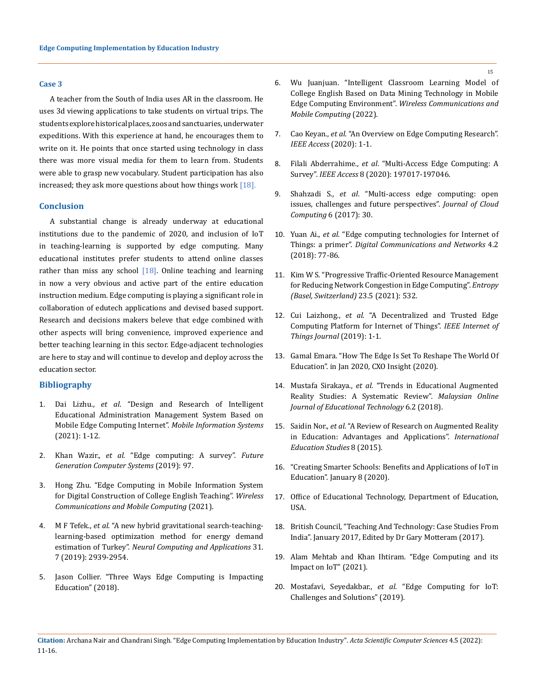#### **Case 3**

A teacher from the South of India uses AR in the classroom. He uses 3d viewing applications to take students on virtual trips. The students explore historical places, zoos and sanctuaries, underwater expeditions. With this experience at hand, he encourages them to write on it. He points that once started using technology in class there was more visual media for them to learn from. Students were able to grasp new vocabulary. Student participation has also increased; they ask more questions about how things work  $[18]$ .

### **Conclusion**

A substantial change is already underway at educational institutions due to the pandemic of 2020, and inclusion of IoT in teaching-learning is supported by edge computing. Many educational institutes prefer students to attend online classes rather than miss any school  $[18]$ . Online teaching and learning in now a very obvious and active part of the entire education instruction medium. Edge computing is playing a significant role in collaboration of edutech applications and devised based support. Research and decisions makers beleve that edge combined with other aspects will bring convenience, improved experience and better teaching learning in this sector. Edge-adjacent technologies are here to stay and will continue to develop and deploy across the education sector.

### **Bibliography**

- 1. Dai Lizhu., *et al*[. "Design and Research of Intelligent](https://www.researchgate.net/publication/356204044_Design_and_Research_of_Intelligent_Educational_Administration_Management_System_Based_on_Mobile_Edge_Computing_Internet)  [Educational Administration Management System Based on](https://www.researchgate.net/publication/356204044_Design_and_Research_of_Intelligent_Educational_Administration_Management_System_Based_on_Mobile_Edge_Computing_Internet)  [Mobile Edge Computing Internet".](https://www.researchgate.net/publication/356204044_Design_and_Research_of_Intelligent_Educational_Administration_Management_System_Based_on_Mobile_Edge_Computing_Internet) *Mobile Information Systems* [\(2021\): 1-12.](https://www.researchgate.net/publication/356204044_Design_and_Research_of_Intelligent_Educational_Administration_Management_System_Based_on_Mobile_Edge_Computing_Internet)
- 2. Khan Wazir., *et al*[. "Edge computing: A survey".](https://www.sciencedirect.com/science/article/abs/pii/S0167739X18319903) *Future [Generation Computer Systems](https://www.sciencedirect.com/science/article/abs/pii/S0167739X18319903)* (2019): 97.
- 3. [Hong Zhu. "Edge Computing in Mobile Information System](https://doi.org/10.1155/2021/6946454)  [for Digital Construction of College English Teaching".](https://doi.org/10.1155/2021/6946454) *Wireless [Communications and Mobile Computing](https://doi.org/10.1155/2021/6946454)* (2021).
- 4. M F Tefek., *et al*[. "A new hybrid gravitational search-teaching](https://link.springer.com/article/10.1007/s00521-017-3244-9)[learning-based optimization method for energy demand](https://link.springer.com/article/10.1007/s00521-017-3244-9)  estimation of Turkey". *[Neural Computing and Applications](https://link.springer.com/article/10.1007/s00521-017-3244-9)* 31. [7 \(2019\): 2939-2954.](https://link.springer.com/article/10.1007/s00521-017-3244-9)
- 5. [Jason Collier. "Three Ways Edge Computing is Impacting](https://www.iotevolutionworld.com/fog/articles/439066-three-ways-edge-computing-impacting-education.htm)  [Education" \(2018\).](https://www.iotevolutionworld.com/fog/articles/439066-three-ways-edge-computing-impacting-education.htm)
- 6. [Wu Juanjuan. "Intelligent Classroom Learning Model of](https://www.hindawi.com/journals/wcmc/2022/4777195/)  [College English Based on Data Mining Technology in Mobile](https://www.hindawi.com/journals/wcmc/2022/4777195/)  Edge Computing Environment". *[Wireless Communications and](https://www.hindawi.com/journals/wcmc/2022/4777195/)  [Mobile Computing](https://www.hindawi.com/journals/wcmc/2022/4777195/)* (2022).
- 7. Cao Keyan., *et al*[. "An Overview on Edge Computing Research".](https://ieeexplore.ieee.org/document/9083958)  *[IEEE Access](https://ieeexplore.ieee.org/document/9083958)* (2020): 1-1.
- 8. Filali Abderrahime., *et al*[. "Multi-Access Edge Computing: A](https://ieeexplore.ieee.org/document/9240934)  Survey". *IEEE Access* [8 \(2020\): 197017-197046.](https://ieeexplore.ieee.org/document/9240934)
- 9. Shahzadi S., *et al*[. "Multi-access edge computing: open](https://doi.org/10.1186/s13677-017-0097-9)  [issues, challenges and future perspectives".](https://doi.org/10.1186/s13677-017-0097-9) *Journal of Cloud Computing* [6 \(2017\): 30.](https://doi.org/10.1186/s13677-017-0097-9)
- 10. Yuan Ai., *et al*[. "Edge computing technologies for Internet of](https://doi.org/10.1016/j.dcan.2017.07.001)  Things: a primer". *[Digital Communications and Networks](https://doi.org/10.1016/j.dcan.2017.07.001)* 4.2 [\(2018\): 77-86.](https://doi.org/10.1016/j.dcan.2017.07.001)
- 11. [Kim W S. "Progressive Traffic-Oriented Resource Management](https://doi.org/10.3390/e23050532)  [for Reducing Network Congestion in Edge Computing".](https://doi.org/10.3390/e23050532) *Entropy [\(Basel, Switzerland\)](https://doi.org/10.3390/e23050532)* 23.5 (2021): 532.
- 12. Cui Laizhong., *et al*[. "A Decentralized and Trusted Edge](https://ieeexplore.ieee.org/document/8891711)  [Computing Platform for Internet of Things".](https://ieeexplore.ieee.org/document/8891711) *IEEE Internet of [Things Journal](https://ieeexplore.ieee.org/document/8891711)* (2019): 1-1.
- 13. [Gamal Emara. "How The Edge Is Set To Reshape The World Of](https://www.cxoinsightme.com/opinions/how-the-edge-is-set-to-reshape-the-world-of-education/)  [Education". in Jan 2020, CXO Insight \(2020\).](https://www.cxoinsightme.com/opinions/how-the-edge-is-set-to-reshape-the-world-of-education/)
- 14. Mustafa Sirakaya., *et al*[. "Trends in Educational Augmented](http://dx.doi.org/10.17220/mojet.2018.04.005)  [Reality Studies: A Systematic Review".](http://dx.doi.org/10.17220/mojet.2018.04.005) *Malaysian Online [Journal of Educational Technology](http://dx.doi.org/10.17220/mojet.2018.04.005)* 6.2 (2018).
- 15. Saidin Nor., *et al*[. "A Review of Research on Augmented Reality](https://www.ccsenet.org/journal/index.php/ies/article/view/50356)  [in Education: Advantages and Applications".](https://www.ccsenet.org/journal/index.php/ies/article/view/50356) *International [Education Studies](https://www.ccsenet.org/journal/index.php/ies/article/view/50356)* 8 (2015).
- 16. ["Creating Smarter Schools: Benefits and Applications of IoT in](https://www.igor-tech.com/news-and-insights/articles/creating-smarter-schools-benefits-and-applications-of-iot-in-education)  [Education". January 8 \(2020\).](https://www.igor-tech.com/news-and-insights/articles/creating-smarter-schools-benefits-and-applications-of-iot-in-education)
- 17. [Office of Educational Technology, Department of Education,](https://tech.ed.gov/case-studies/)  [USA.](https://tech.ed.gov/case-studies/)
- 18. British Council, "Teaching And Technology: Case Studies From India". January 2017, Edited by Dr Gary Motteram (2017).
- 19. Alam Mehtab and Khan Ihtiram. "Edge Computing and its Impact on IoT" (2021).
- 20. Mostafavi, Seyedakbar., *et al*. "Edge Computing for IoT: Challenges and Solutions" (2019).
- **Citation:** Archana Nair and Chandrani Singh*.* "Edge Computing Implementation by Education Industry". *Acta Scientific Computer Sciences* 4.5 (2022): 11-16.